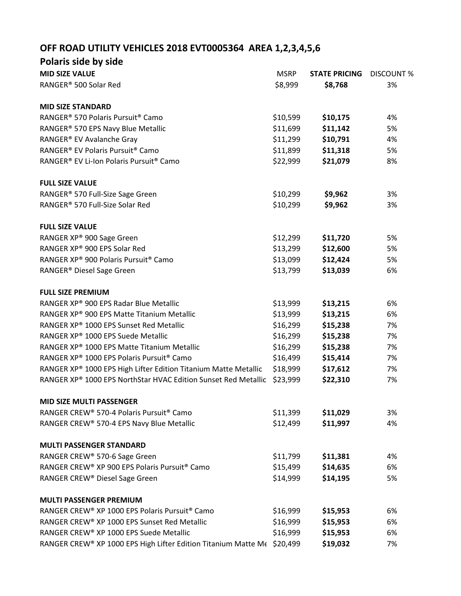## **OFF ROAD UTILITY VEHICLES 2018 EVT0005364 AREA 1,2,3,4,5,6**

| Polaris side by side                                                    |             |                      |                   |
|-------------------------------------------------------------------------|-------------|----------------------|-------------------|
| <b>MID SIZE VALUE</b>                                                   | <b>MSRP</b> | <b>STATE PRICING</b> | <b>DISCOUNT %</b> |
| RANGER® 500 Solar Red                                                   | \$8,999     | \$8,768              | 3%                |
| <b>MID SIZE STANDARD</b>                                                |             |                      |                   |
| RANGER® 570 Polaris Pursuit® Camo                                       | \$10,599    | \$10,175             | 4%                |
| RANGER® 570 EPS Navy Blue Metallic                                      | \$11,699    | \$11,142             | 5%                |
| RANGER® EV Avalanche Gray                                               | \$11,299    | \$10,791             | 4%                |
| RANGER® EV Polaris Pursuit® Camo                                        | \$11,899    | \$11,318             | 5%                |
| RANGER® EV Li-Ion Polaris Pursuit® Camo                                 | \$22,999    | \$21,079             | 8%                |
| <b>FULL SIZE VALUE</b>                                                  |             |                      |                   |
| RANGER® 570 Full-Size Sage Green                                        | \$10,299    | \$9,962              | 3%                |
| RANGER® 570 Full-Size Solar Red                                         | \$10,299    | \$9,962              | 3%                |
| <b>FULL SIZE VALUE</b>                                                  |             |                      |                   |
| RANGER XP® 900 Sage Green                                               | \$12,299    | \$11,720             | 5%                |
| RANGER XP® 900 EPS Solar Red                                            | \$13,299    | \$12,600             | 5%                |
| RANGER XP® 900 Polaris Pursuit® Camo                                    | \$13,099    | \$12,424             | 5%                |
| RANGER <sup>®</sup> Diesel Sage Green                                   | \$13,799    | \$13,039             | 6%                |
| <b>FULL SIZE PREMIUM</b>                                                |             |                      |                   |
| RANGER XP® 900 EPS Radar Blue Metallic                                  | \$13,999    | \$13,215             | 6%                |
| RANGER XP® 900 EPS Matte Titanium Metallic                              | \$13,999    | \$13,215             | 6%                |
| RANGER XP® 1000 EPS Sunset Red Metallic                                 | \$16,299    | \$15,238             | 7%                |
| RANGER XP® 1000 EPS Suede Metallic                                      | \$16,299    | \$15,238             | 7%                |
| RANGER XP® 1000 EPS Matte Titanium Metallic                             | \$16,299    | \$15,238             | 7%                |
| RANGER XP® 1000 EPS Polaris Pursuit® Camo                               | \$16,499    | \$15,414             | 7%                |
| RANGER XP® 1000 EPS High Lifter Edition Titanium Matte Metallic         | \$18,999    | \$17,612             | 7%                |
| RANGER XP® 1000 EPS NorthStar HVAC Edition Sunset Red Metallic          | \$23,999    | \$22,310             | 7%                |
| <b>MID SIZE MULTI PASSENGER</b>                                         |             |                      |                   |
| RANGER CREW® 570-4 Polaris Pursuit® Camo                                | \$11,399    | \$11,029             | 3%                |
| RANGER CREW® 570-4 EPS Navy Blue Metallic                               | \$12,499    | \$11,997             | 4%                |
| <b>MULTI PASSENGER STANDARD</b>                                         |             |                      |                   |
| RANGER CREW® 570-6 Sage Green                                           | \$11,799    | \$11,381             | 4%                |
| RANGER CREW® XP 900 EPS Polaris Pursuit® Camo                           | \$15,499    | \$14,635             | 6%                |
| RANGER CREW® Diesel Sage Green                                          | \$14,999    | \$14,195             | 5%                |
| <b>MULTI PASSENGER PREMIUM</b>                                          |             |                      |                   |
| RANGER CREW® XP 1000 EPS Polaris Pursuit® Camo                          | \$16,999    | \$15,953             | 6%                |
| RANGER CREW® XP 1000 EPS Sunset Red Metallic                            | \$16,999    | \$15,953             | 6%                |
| RANGER CREW® XP 1000 EPS Suede Metallic                                 | \$16,999    | \$15,953             | 6%                |
| RANGER CREW® XP 1000 EPS High Lifter Edition Titanium Matte Me \$20,499 |             | \$19,032             | 7%                |